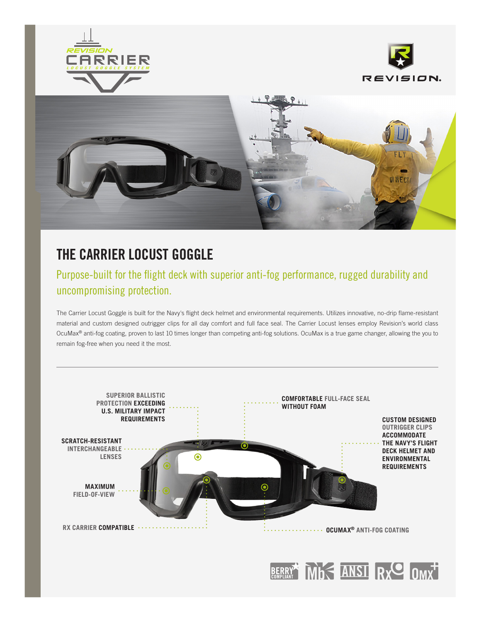





# **THE CARRIER LOCUST GOGGLE**

## Purpose-built for the flight deck with superior anti-fog performance, rugged durability and uncompromising protection.

The Carrier Locust Goggle is built for the Navy's flight deck helmet and environmental requirements. Utilizes innovative, no-drip flame-resistant material and custom designed outrigger clips for all day comfort and full face seal. The Carrier Locust lenses employ Revision's world class OcuMax® anti-fog coating, proven to last 10 times longer than competing anti-fog solutions. OcuMax is a true game changer, allowing the you to remain fog-free when you need it the most.